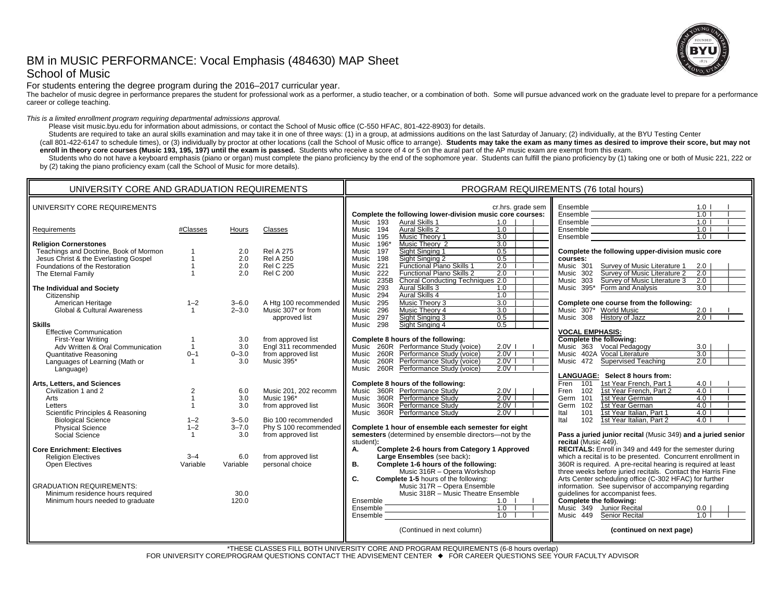# BM in MUSIC PERFORMANCE: Vocal Emphasis (484630) MAP Sheet School of Music



For students entering the degree program during the 2016–2017 curricular year.

The bachelor of music degree in performance prepares the student for professional work as a performer, a studio teacher, or a combination of both. Some will pursue advanced work on the graduate level to prepare for a perfo career or college teaching.

*This is a limited enrollment program requiring departmental admissions approval.*

Please visit music.byu.edu for information about admissions, or contact the School of Music office (C-550 HFAC, 801-422-8903) for details.

Students are required to take an aural skills examination and may take it in one of three ways: (1) in a group, at admissions auditions on the last Saturday of January; (2) individually, at the BYU Testing Center

(call 801-422-6147 to schedule times), or (3) individually by proctor at other locations (call the School of Music office to arrange). Students may take the exam as many times as desired to improve their score, but may not **enroll in theory core courses (Music 193, 195, 197) until the exam is passed.** Students who receive a score of 4 or 5 on the aural part of the AP music exam are exempt from this exam.

Students who do not have a keyboard emphasis (piano or organ) must complete the piano proficiency by the end of the sophomore year. Students can fulfill the piano proficiency by (1) taking one or both of Music 221, 222 or by (2) taking the piano proficiency exam (call the School of Music for more details).

| UNIVERSITY CORE REQUIREMENTS<br>cr.hrs. grade sem                                                                                                                                                                                                                                                                                                                                                                                                                                                                                                                                                                                                                                                                                                                                                                                                                                                                                                                                                                                                                                                                                                                                                                                                                                                                                                                                                                                                                                                                                                                                                                                                                                                                                                                                                                                                                                                                                                                                                                                                                                                                                                                                                                                                                                                                                                                                                                                                                                                                                                                                                                                                                                                                                                                                                                                                                                                                                                                                                                                                                                                                                                                                                                                                                                                                                                                                                                                                                                                                                                                                                                                                                                                                                                                                                                                                                                           |                                                                                                                                                                                                                                                                                                                                                                                                                                                                                                                                                                                                                                                                                                                                                                                              |
|---------------------------------------------------------------------------------------------------------------------------------------------------------------------------------------------------------------------------------------------------------------------------------------------------------------------------------------------------------------------------------------------------------------------------------------------------------------------------------------------------------------------------------------------------------------------------------------------------------------------------------------------------------------------------------------------------------------------------------------------------------------------------------------------------------------------------------------------------------------------------------------------------------------------------------------------------------------------------------------------------------------------------------------------------------------------------------------------------------------------------------------------------------------------------------------------------------------------------------------------------------------------------------------------------------------------------------------------------------------------------------------------------------------------------------------------------------------------------------------------------------------------------------------------------------------------------------------------------------------------------------------------------------------------------------------------------------------------------------------------------------------------------------------------------------------------------------------------------------------------------------------------------------------------------------------------------------------------------------------------------------------------------------------------------------------------------------------------------------------------------------------------------------------------------------------------------------------------------------------------------------------------------------------------------------------------------------------------------------------------------------------------------------------------------------------------------------------------------------------------------------------------------------------------------------------------------------------------------------------------------------------------------------------------------------------------------------------------------------------------------------------------------------------------------------------------------------------------------------------------------------------------------------------------------------------------------------------------------------------------------------------------------------------------------------------------------------------------------------------------------------------------------------------------------------------------------------------------------------------------------------------------------------------------------------------------------------------------------------------------------------------------------------------------------------------------------------------------------------------------------------------------------------------------------------------------------------------------------------------------------------------------------------------------------------------------------------------------------------------------------------------------------------------------------------------------------------------------------------------------------------------------|----------------------------------------------------------------------------------------------------------------------------------------------------------------------------------------------------------------------------------------------------------------------------------------------------------------------------------------------------------------------------------------------------------------------------------------------------------------------------------------------------------------------------------------------------------------------------------------------------------------------------------------------------------------------------------------------------------------------------------------------------------------------------------------------|
| Complete the following lower-division music core courses:                                                                                                                                                                                                                                                                                                                                                                                                                                                                                                                                                                                                                                                                                                                                                                                                                                                                                                                                                                                                                                                                                                                                                                                                                                                                                                                                                                                                                                                                                                                                                                                                                                                                                                                                                                                                                                                                                                                                                                                                                                                                                                                                                                                                                                                                                                                                                                                                                                                                                                                                                                                                                                                                                                                                                                                                                                                                                                                                                                                                                                                                                                                                                                                                                                                                                                                                                                                                                                                                                                                                                                                                                                                                                                                                                                                                                                   | 1.0 <sub>l</sub><br>1.0                                                                                                                                                                                                                                                                                                                                                                                                                                                                                                                                                                                                                                                                                                                                                                      |
| Ensemble<br>Ensemble<br>Ensemble<br>Ensemble<br>Ensemble<br>Music 193<br>Aural Skills 1<br>1.0<br><b>Aural Skills 2</b><br>1.0<br>194<br>#Classes<br>Classes<br>Music<br>Requirements<br>Hours<br>Music Theory 1<br>3.0<br>195<br>Music                                                                                                                                                                                                                                                                                                                                                                                                                                                                                                                                                                                                                                                                                                                                                                                                                                                                                                                                                                                                                                                                                                                                                                                                                                                                                                                                                                                                                                                                                                                                                                                                                                                                                                                                                                                                                                                                                                                                                                                                                                                                                                                                                                                                                                                                                                                                                                                                                                                                                                                                                                                                                                                                                                                                                                                                                                                                                                                                                                                                                                                                                                                                                                                                                                                                                                                                                                                                                                                                                                                                                                                                                                                     | 1.0<br>1.0<br>1.0                                                                                                                                                                                                                                                                                                                                                                                                                                                                                                                                                                                                                                                                                                                                                                            |
| 3.0<br>196*<br>Music Theory 2<br><b>Religion Cornerstones</b><br>Music<br>0.5<br>Teachings and Doctrine, Book of Mormon<br><b>Rel A 275</b><br>197<br>Sight Singing 1<br>2.0<br>Music<br>0.5<br>Jesus Christ & the Everlasting Gospel<br>2.0<br><b>Rel A 250</b><br>198<br>Sight Singing 2<br>Music<br>courses:<br><b>Rel C 225</b><br>2.0<br>Foundations of the Restoration<br>2.0<br>221<br>Functional Piano Skills 1<br>Music 301<br>Music<br>The Eternal Family<br>2.0<br><b>Rel C 200</b><br>222<br>Functional Piano Skills 2<br>2.0<br>Music 302<br>Music<br>235B<br>Choral Conducting Techniques 2.0<br>Music 303<br>Music<br>293<br>Aural Skills 3<br>1.0<br>Music 395*<br>Form and Analysis<br>The Individual and Society<br>Music<br>Aural Skills 4<br>294<br>1.0<br>Music<br>Citizenship<br>295<br>Music Theory 3<br>3.0<br>$1 - 2$<br>A Htg 100 recommended<br>Music<br>Complete one course from the following:<br>American Heritage<br>$3 - 6.0$<br>Music 307* or from<br>Music Theory 4<br>3.0<br>Music 307* World Music<br>Global & Cultural Awareness<br>$2 - 3.0$<br>296<br>Music<br>approved list<br>Sight Singing 3<br>0.5<br>Music 308 History of Jazz<br>Music<br>297<br>Sight Singing 4<br>0.5<br>298<br>Skills<br>Music<br><b>VOCAL EMPHASIS:</b><br><b>Effective Communication</b><br>from approved list<br>Complete 8 hours of the following:<br>Complete the following:<br>First-Year Writing<br>3.0<br>Engl 311 recommended<br>260R Performance Study (voice)<br>$2.0V$  <br>Music 363 Vocal Pedagogy<br>Adv Written & Oral Communication<br>3.0<br>Music<br>Music 402A Vocal Literature<br>260R Performance Study (voice)<br>2.0V<br>from approved list<br>Quantitative Reasoning<br>$0 - 1$<br>$0 - 3.0$<br>Music<br>Music 395*<br>2.0V<br>Languages of Learning (Math or<br>3.0<br>260R<br>Performance Study (voice)<br>Music 472 Supervised Teaching<br>$\overline{1}$<br>Music<br>260R Performance Study (voice)<br>2.0V<br>Language)<br>Music<br>LANGUAGE: Select 8 hours from:<br>Fren<br>Complete 8 hours of the following:<br>101<br>1st Year French, Part 1<br>Arts, Letters, and Sciences<br>360R Performance Study<br>2.0V<br>102<br>Music 201, 202 recomm<br>Fren<br>1st Year French, Part 2<br>Civilization 1 and 2<br>2<br>6.0<br>Music<br>360R Performance Study<br>2.0V<br>3.0<br>Music 196*<br>Germ 101<br>1st Year German<br>Music<br>Arts<br>$2.0V$  <br>from approved list<br>360R Performance Study<br>Germ<br>102<br>1st Year German<br>3.0<br>Music<br>Letters<br>Scientific Principles & Reasoning<br>$2.0V$  <br>101<br>360R Performance Study<br>Ital<br>1st Year Italian, Part 1<br>Music<br><b>Biological Science</b><br>$3 - 5.0$<br>Bio 100 recommended<br>102<br>1st Year Italian, Part 2<br>$1 - 2$<br>Ital<br>$1 - 2$<br>Phy S 100 recommended<br>Complete 1 hour of ensemble each semester for eight<br><b>Physical Science</b><br>$3 - 7.0$<br>semesters (determined by ensemble directors-not by the<br>Social Science<br>from approved list<br>3.0<br>recital (Music 449).<br>student):<br>Complete 2-6 hours from Category 1 Approved<br><b>Core Enrichment: Electives</b><br>Α.<br>Large Ensembles (see back):<br><b>Religion Electives</b><br>$3 - 4$<br>6.0<br>from approved list<br>Complete 1-6 hours of the following:<br>personal choice<br>В.<br><b>Open Electives</b><br>Variable<br>Variable<br>Music 316R - Opera Workshop<br>C.<br>Complete 1-5 hours of the following:<br>Music 317R - Opera Ensemble<br><b>GRADUATION REQUIREMENTS:</b><br>quidelines for accompanist fees.<br>Music 318R - Music Theatre Ensemble<br>30.0<br>Minimum residence hours required<br>Complete the following:<br>120.0<br>Minimum hours needed to graduate<br>1.0<br>1.0<br>Junior Recital<br>Ensemble<br>Ensemble<br>Music 349<br>$\overline{1.0}$ $\overline{1}$<br>Senior Recital<br>Music 449<br>(Continued in next column) | Complete the following upper-division music core<br>Survey of Music Literature 1<br>2.0<br>Survey of Music Literature 2<br>2.0<br>Survey of Music Literature 3<br>2.0<br>3.0<br>$2.0$ 1<br>$2.0$ 1<br>3.0<br>3.0<br>2.0<br>4.0 <sub>1</sub><br>4.0<br>$4.0$  <br>$4.0$  <br>4.0<br>$4.0$  <br>Pass a juried junior recital (Music 349) and a juried senior<br><b>RECITALS:</b> Enroll in 349 and 449 for the semester during<br>which a recital is to be presented. Concurrent enrollment in<br>360R is required. A pre-recital hearing is required at least<br>three weeks before juried recitals. Contact the Harris Fine<br>Arts Center scheduling office (C-302 HFAC) for further<br>information. See supervisor of accompanying regarding<br>0.0<br>$1.0$ 1<br>(continued on next page) |

\*THESE CLASSES FILL BOTH UNIVERSITY CORE AND PROGRAM REQUIREMENTS (6-8 hours overlap) FOR UNIVERSITY CORE/PROGRAM QUESTIONS CONTACT THE ADVISEMENT CENTER ♦ FOR CAREER QUESTIONS SEE YOUR FACULTY ADVISOR